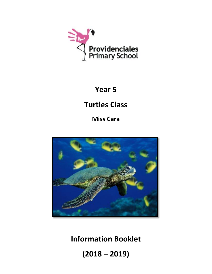

# **Year 5**

# **Turtles Class**

**Miss Cara**



**Information Booklet**

**(2018 – 2019)**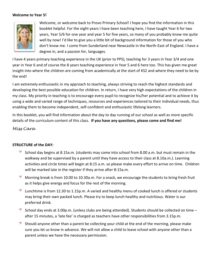#### **Welcome to Year 5!**



Welcome, or welcome back to Provo Primary School! I hope you find the information in this booklet helpful. For the eight years I have been teaching here, I have taught Year 6 for two years, Year 5/6 for one year and year 5 for five years, so many of you probably know me quite well by now! I'd like to give you a little bit of background information for those of you who don't know me. I come from Sunderland near Newcastle in the North-East of England. I have a degree in, and a passion for, languages.

I have 4 years primary teaching experience in the UK (prior to PPS), teaching for 3 years in Year 3/4 and one year in Year 6 and of course the 8 years teaching experience in Year 5 and 6 here too. This has given me great insight into where the children are coming from academically at the start of KS2 and where they need to be by the end!

I am extremely enthusiastic in my approach to teaching, always striving to reach the highest standards and developing the best possible education for children. In return, I have very high expectations of the children in my class. My priority in teaching is to encourage every pupil to recognize his/her potential and to achieve it by using a wide and varied range of techniques, resources and experiences tailored to their individual needs, thus enabling them to become independent, self-confident and enthusiastic lifelong learners.

In this booklet, you will find information about the day to day running of our school as well as more specific details of the curriculum content of this class. **If you have any questions, please come and find me!**

*Miss Cara*

# **STRUCTURE of the DAY:**

- School day begins at 8.15a.m. (students may come into school from 8.00 a.m. but must remain in the walkway and be supervised by a parent until they have access to their class at 8.10a.m.). Learning activities and circle times will begin at 8:15 a.m. so please make every effort to arrive on time. Children will be marked late in the register if they arrive after 8:15a.m.
- Morning break is from 10.00 to 10.30a.m. For a snack, we encourage the students to bring fresh fruit as it helps give energy and focus for the rest of the morning.
- Lunchtime is from 12.30 to 1.15p.m. A varied and healthy menu of cooked lunch is offered or students may bring their own packed lunch. Please try to keep lunch healthy and nutritious. Water is our preferred drink.
- School day ends at 3.00p.m. (unless clubs are being attended). Students should be collected on time after 15 minutes, a 'late fee' is charged as teachers have other responsibilities from 3.15p.m.
- $\frac{1}{\sqrt{2}}$ Should anyone other than a parent be collecting your child at the end of the morning, please make sure you let us know in advance. We will not allow a child to leave school with anyone other than a parent unless we have the necessary permission.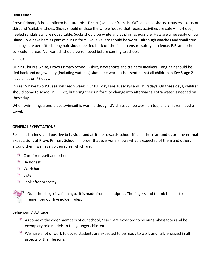#### **UNIFORM:**

Provo Primary School uniform is a turquoise T-shirt (available from the Office), khaki shorts, trousers, skorts or skirt and 'suitable' shoes. Shoes should enclose the whole foot so that recess activities are safe –'flip-flops', heeled sandals etc. are not suitable. Socks should be white and as plain as possible. Hats are a necessity on our island – we have hats as part of our uniform. No jewellery should be worn – although watches and small stud ear-rings are permitted. Long hair should be tied back off the face to ensure safety in science, P.E. and other curriculum areas. Nail varnish should be removed before coming to school.

#### P.E. Kit:

Our P.E. kit is a white, Provo Primary School T-shirt, navy shorts and trainers/sneakers. Long hair should be tied back and no jewellery (including watches) should be worn. It is essential that all children in Key Stage 2 have a hat on PE days.

In Year 5 have two P.E. sessions each week. Our P.E. days are Tuesdays and Thursdays. On these days, children should come to school in P.E. kit, but bring their uniform to change into afterwards. Extra water is needed on these days.

When swimming, a one-piece swimsuit is worn, although UV shirts can be worn on top, and children need a towel.

#### **GENERAL EXPECTATIONS:**

Respect, kindness and positive behaviour and attitude towards school life and those around us are the normal expectations at Provo Primary School. In order that everyone knows what is expected of them and others around them, we have golden rules, which are:

- <sup>\*</sup> Care for myself and others
- 誕 Be honest
- **Work hard**
- Listen
- Look after property

Our school logo is a flamingo. It is made from a handprint. The fingers and thumb help us to remember our five golden rules.

#### Behaviour & Attitude

- $*$  As some of the older members of our school, Year 5 are expected to be our ambassadors and be exemplary role models to the younger children.
- $*$  We have a lot of work to do, so students are expected to be ready to work and fully engaged in all aspects of their lessons.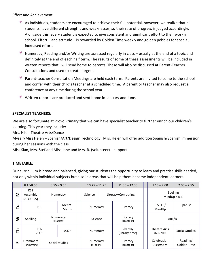# Effort and Achievement

- $*$  As individuals, students are encouraged to achieve their full potential, however, we realize that all students have different strengths and weaknesses, so their rate of progress is judged accordingly. Alongside this, every student is expected to give consistent and significant effort to their work in school. Effort – and attitude – is rewarded by Golden Time weekly and golden pebbles for special, increased effort.
- Numeracy, Reading and/or Writing are assessed regularly in class usually at the end of a topic and definitely at the end of each half term. The results of some of these assessments will be included in written reports that I will send home to parents. These will also be discussed at Parent-Teacher Consultations and used to create targets.
- Parent-teacher Consultation Meetings are held each term. Parents are invited to come to the school and confer with their child's teacher at a scheduled time. A parent or teacher may also request a conference at any time during the school year.
- Written reports are produced and sent home in January and June.

# **SPECIALIST TEACHERS:**

We are also fortunate at Provo Primary that we can have specialist teacher to further enrich our children's learning. This year they include:

Mrs. Niki - Theatre Arts/Dance

Myself/Miss Helen – Spanish/Art/Design Technology. Mrs. Helen will offer addition Spanish/Spanish immersion during her sessions with the class.

Miss Sian, Mrs. Stef and Miss Jane and Mrs. B. (volunteer) – support

#### **TIMETABLE:**

Our curriculum is broad and balanced, giving our students the opportunity to learn and practise skills needed, not only within individual subjects but also in areas that will help them become independent learners.

|        | 8.15-8.55                                     |                         | $8.55 - 9.55$  | $10.25 - 11.25$        |  | $11.30 - 12.30$            | $1.15 - 2.00$               | $2.05 - 2.55$           |
|--------|-----------------------------------------------|-------------------------|----------------|------------------------|--|----------------------------|-----------------------------|-------------------------|
| Σ      | KS <sub>2</sub><br>Assembly<br>$(8.30 - 855)$ |                         | Numeracy       | Science                |  | Literacy/Computing         | Spelling<br>MindUp / R.E.   |                         |
| Б<br>⊢ |                                               | Mental<br>P.E.<br>Maths |                | Numeracy               |  | Literacy                   | P.S.H.E/<br>MindUp          | Spanish                 |
| 3      | <b>Spelling</b>                               | Numeracy<br>(+Tablets)  |                | Science                |  | Literacy<br>(+Laptops)     | ART/DT                      |                         |
| 두      | P.E.<br><b>VCOP</b>                           |                         | <b>VCOP</b>    | Numeracy               |  | Literacy<br>(library time) | Theatre Arts<br>(Mrs. Niki) | Social Studies          |
| ட      | Grammar/<br>Handwriting                       |                         | Social studies | Numeracy<br>(+Tablets) |  | Literacy<br>(+Laptops)     | Celebration<br>Assembly     | Reading/<br>Golden Time |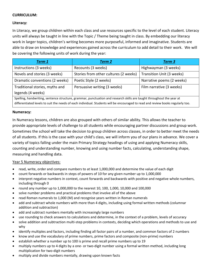# **CURRICULUM:**

# **Literacy:**

In Literacy, we group children within each class and use resources specific to the level of each student. Literacy units will always be taught in line with the Topic / Theme being taught in class. By embedding our literacy work in larger topics, children's writing becomes more purposeful, informed and imaginative. Students are able to draw on knowledge and experiences gained across the curriculum to add detail to their work. We will be covering the following units of work during the year:

| Term 1                                                                                                                          | Term 2                                | Term 3                    |  |  |  |
|---------------------------------------------------------------------------------------------------------------------------------|---------------------------------------|---------------------------|--|--|--|
| Instructions (3 weeks)                                                                                                          | Recounts (3 weeks)                    | Highwayman (3 weeks)      |  |  |  |
| Novels and stories (3 weeks)                                                                                                    | Stories from other cultures (2 weeks) | Transition Unit (3 weeks) |  |  |  |
| Dramatic conventions (2 weeks)                                                                                                  | Poetic Style (2 weeks)                | Narrative poems (2 weeks) |  |  |  |
| Traditional stories, myths and                                                                                                  | Persuasive writing (3 weeks)          | Film narrative (3 weeks)  |  |  |  |
| legends (4 weeks)                                                                                                               |                                       |                           |  |  |  |
| Spelling, handwriting, sentence structure, grammar, punctuation and research skills are taught throughout the year at           |                                       |                           |  |  |  |
| differentiated levels to suit the needs of each individual. Students will be encouraged to read and review books regularly too. |                                       |                           |  |  |  |

#### **Numeracy:**

In Numeracy lessons, children are also grouped with others of similar ability. This allows the teacher to provide appropriate levels of challenge to all students while encouraging partner discussions and group work. Sometimes the school will take the decision to group children across classes, in order to better meet the needs of all students. If this is the case with your child's class, we will inform you of our plans in advance. We cover a variety of topics falling under the main Primary Strategy headings of using and applying Numeracy skills, counting and understanding number, knowing and using number facts, calculating, understanding shape, measuring and handling data.

#### Year 5 Numeracy objectives:

- read, write, order and compare numbers to at least 1,000,000 and determine the value of each digit
- count forwards or backwards in steps of powers of 10 for any given number up to 1,000,000
- interpret negative numbers in context, count forwards and backwards with positive and negative whole numbers, including through 0
- round any number up to 1,000,000 to the nearest 10, 100, 1,000, 10,000 and 100,000
- solve number problems and practical problems that involve all of the above
- read Roman numerals to 1,000 (M) and recognise years written in Roman numerals
- add and subtract whole numbers with more than 4 digits, including using formal written methods (columnar addition and subtraction)
- add and subtract numbers mentally with increasingly large numbers
- use rounding to check answers to calculations and determine, in the context of a problem, levels of accuracy
- solve addition and subtraction multi-step problems in contexts, deciding which operations and methods to use and why
- identify multiples and factors, including finding all factor pairs of a number, and common factors of 2 numbers
- know and use the vocabulary of prime numbers, prime factors and composite (non-prime) numbers
- establish whether a number up to 100 is prime and recall prime numbers up to 19
- multiply numbers up to 4 digits by a one- or two-digit number using a formal written method, including long multiplication for two-digit numbers
- multiply and divide numbers mentally, drawing upon known facts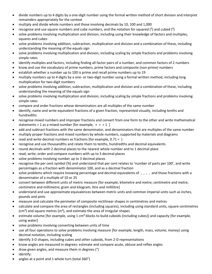- divide numbers up to 4 digits by a one-digit number using the formal written method of short division and interpret remainders appropriately for the context
- multiply and divide whole numbers and those involving decimals by 10, 100 and 1,000
- recognise and use square numbers and cube numbers, and the notation for squared  $(2)$  and cubed  $(3)$
- solve problems involving multiplication and division, including using their knowledge of factors and multiples, squares and cubes
- solve problems involving addition, subtraction, multiplication and division and a combination of these, including understanding the meaning of the equals sign
- solve problems involving multiplication and division, including scaling by simple fractions and problems involving simple rates
- identify multiples and factors, including finding all factor pairs of a number, and common factors of 2 numbers
- know and use the vocabulary of prime numbers, prime factors and composite (non-prime) numbers
- establish whether a number up to 100 is prime and recall prime numbers up to 19
- multiply numbers up to 4 digits by a one- or two-digit number using a formal written method, including long multiplication for two-digit numbers
- solve problems involving addition, subtraction, multiplication and division and a combination of these, including understanding the meaning of the equals sign
- solve problems involving multiplication and division, including scaling by simple fractions and problems involving simple rates
- compare and order fractions whose denominators are all multiples of the same number
- identify, name and write equivalent fractions of a given fraction, represented visually, including tenths and hundredths
- recognise mixed numbers and improper fractions and convert from one form to the other and write mathematical statements  $> 1$  as a mixed number [for example,  $+ = 1$ ]
- add and subtract fractions with the same denominator, and denominators that are multiples of the same number
- multiply proper fractions and mixed numbers by whole numbers, supported by materials and diagrams
- read and write decimal numbers as fractions [for example,  $0.71 =$ ]
- recognise and use thousandths and relate them to tenths, hundredths and decimal equivalents
- round decimals with 2 decimal places to the nearest whole number and to 1 decimal place
- read, write, order and compare numbers with up to 3 decimal places
- solve problems involving number up to 3 decimal places
- recognise the per cent symbol (%) and understand that per cent relates to 'number of parts per 100', and write percentages as a fraction with denominator 100, and as a decimal fraction
- solve problems which require knowing percentage and decimal equivalents of , , , , and those fractions with a denominator of a multiple of 10 or 25
- convert between different units of metric measure [for example, kilometre and metre; centimetre and metre; centimetre and millimetre; gram and kilogram; litre and millilitre]
- understand and use approximate equivalences between metric units and common imperial units such as inches, pounds and pints
- measure and calculate the perimeter of composite rectilinear shapes in centimetres and metres
- calculate and compare the area of rectangles (including squares), including using standard units, square centimetres  $(cm<sup>2</sup>)$  and square metres  $(m<sup>2</sup>)$ , and estimate the area of irregular shapes
- estimate volume [for example, using 1 cm<sup>3</sup> blocks to build cuboids (including cubes)] and capacity [for example, using water]
- solve problems involving converting between units of time
- use all four operations to solve problems involving measure [for example, length, mass, volume, money] using decimal notation, including scaling
- identify 3-D shapes, including cubes and other cuboids, from 2-D representations
- know angles are measured in degrees: estimate and compare acute, obtuse and reflex angles
- draw given angles, and measure them in degrees (°)
- identify:
- angles at a point and 1 whole turn (total 360°)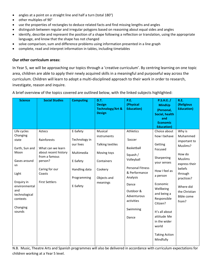- angles at a point on a straight line and half a turn (total 180°)
- other multiples of 90°
- use the properties of rectangles to deduce related facts and find missing lengths and angles
- distinguish between regular and irregular polygons based on reasoning about equal sides and angles
- identify, describe and represent the position of a shape following a reflection or translation, using the appropriate language, and know that the shape has not changed
- solve comparison, sum and difference problems using information presented in a line graph
- complete, read and interpret information in tables, including timetables

#### **Our other curriculum areas:**

In Year 5, we will be approaching our topics through a 'creative curriculum'. By centring learning on one topic area, children are able to apply their newly acquired skills in a meaningful and purposeful way across the curriculum. Children will learn to adopt a multi-disciplined approach to their work in order to research, investigate, reason and inquire.

A brief overview of the topics covered are outlined below, with the linked subjects highlighted:

| <b>Science</b>                                                                                                                                                                     | <b>Social Studies</b>                                                                                                                               | <b>Computing</b>                                                                                             | <b>D.T.</b><br><b>Design</b><br><b>Technology/Art &amp;</b><br><b>Design</b>                                  | P.E.<br>(Physical<br><b>Education</b> )                                                                                                                                                     | P.S.H.E. /<br><b>MindUp</b><br>(Personal,<br><b>Social, health</b><br>and                                                                                                                                                                                                      | <b>R.E.</b><br>(Religious<br><b>Education</b> )                                                                                                                                             |
|------------------------------------------------------------------------------------------------------------------------------------------------------------------------------------|-----------------------------------------------------------------------------------------------------------------------------------------------------|--------------------------------------------------------------------------------------------------------------|---------------------------------------------------------------------------------------------------------------|---------------------------------------------------------------------------------------------------------------------------------------------------------------------------------------------|--------------------------------------------------------------------------------------------------------------------------------------------------------------------------------------------------------------------------------------------------------------------------------|---------------------------------------------------------------------------------------------------------------------------------------------------------------------------------------------|
|                                                                                                                                                                                    |                                                                                                                                                     |                                                                                                              |                                                                                                               |                                                                                                                                                                                             | <b>Economic</b><br><b>Education</b> )                                                                                                                                                                                                                                          |                                                                                                                                                                                             |
| Life cycles<br>Changing<br>state<br>Earth, Sun and<br>Moon<br>Gases around<br>us<br>Light<br>Enquiry in<br>environmental<br>and<br>technological<br>contexts<br>Changing<br>sounds | Aztecs<br>Rainforests<br>What can we learn<br>about recent history<br>from a famous<br>person?<br>Caring for our<br>Coasts<br><b>First Settlers</b> | E-Safety<br>Technology in<br>our lives<br>Multimedia<br>E-Safety<br>Handling data<br>Programming<br>E-Safety | Musical<br>instruments<br>Talking textiles<br>Moving toys<br>Containers<br>Cookery<br>Objects and<br>meanings | Athletics<br>Soccer<br>Basketball<br>Squash /<br>Volleyball<br><b>Personal Fitness</b><br>& Performance<br>Analysis<br>Dance<br>Outdoor &<br>Adventurous<br>activities<br>Swimming<br>Dance | Choice about<br>how I behave<br>Getting<br>Focused<br>Sharpening<br>your senses<br>How I feel as<br>a person<br>Economic<br>Wellbeing<br>and being a<br>Responsible<br>Citizen?<br>It's all about<br>attitude Me<br>in the wider<br>world<br><b>Taking Action</b><br>Mindfully | Why is<br>Muhammed<br>important to<br>Muslims?<br>How do<br><b>Muslims</b><br>express their<br>beliefs<br>through<br>practices?<br>Where did<br>the Christian<br><b>Bible come</b><br>from? |

N.B. Music, Theatre Arts and Spanish programmes will also be delivered in accordance with curriculum expectations for children working at a Year 5 level.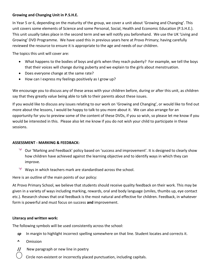# **Growing and Changing Unit in P.S.H.E.**

In Year 5 or 6, depending on the maturity of the group, we cover a unit about 'Growing and Changing'. This unit covers some elements of Science and some Personal, Social, Health and Economic Education (P.S.H.E.). This unit usually takes place in the second term and we will notify you beforehand. We use the UK 'Living and Growing' DVD Programme. We have used this in previous years here at Provo Primary; having carefully reviewed the resource to ensure it is appropriate to the age and needs of our children.

The topics this unit will cover are:

- What happens to the bodies of boys and girls when they reach puberty? For example, we tell the boys that their voices will change during puberty and we explain to the girls about menstruation.
- Does everyone change at the same rate?
- How can I express my feelings positively as I grow up?

We encourage you to discuss any of these areas with your children before, during or after this unit, as children say that they greatly value being able to talk to their parents about these issues.

If you would like to discuss any issues relating to our work on 'Growing and Changing', or would like to find out more about the lessons, I would be happy to talk to you more about it. We can also arrange for an opportunity for you to preview some of the content of these DVDs, if you so wish, so please let me know if you would be interested in this. Please also let me know if you do not wish your child to participate in these sessions.

# **ASSESSMENT - MARKING & FEEDBACK:**

- Our 'Marking and Feedback' policy based on 'success and improvement'. It is designed to clearly show how children have achieved against the learning objective and to identify ways in which they can improve.
- Ways in which teachers mark are standardised across the school.

Here is an outline of the main points of our policy:

At Provo Primary School, we believe that students should receive quality feedback on their work. This may be given in a variety of ways including marking, rewards, oral and body language (smiles, thumbs up, eye contact etc.). Research shows that oral feedback is the most natural and effective for children. Feedback, in whatever form is powerful and must focus on success **and** improvement.

# **Literacy and written work:**

The following symbols will be used consistently across the school:

- *sp* In margin to highlight incorrect spelling somewhere on that line. Student locates and corrects it.
- **^** Omission
- **//** New paragraph or new line in poetry
	- Circle non-existent or incorrectly placed punctuation, including capitals.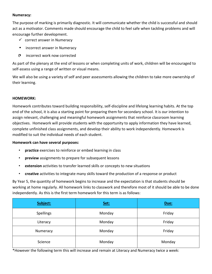### **Numeracy:**

The purpose of marking is primarily diagnostic. It will communicate whether the child is successful and should act as a motivator. Comments made should encourage the child to feel safe when tackling problems and will encourage further development.

- $\checkmark$  correct answer in Numeracy
- incorrect answer in Numeracy
- C incorrect work now corrected

As part of the plenary at the end of lessons or when completing units of work, children will be encouraged to self-assess using a range of written or visual means.

We will also be using a variety of self and peer assessments allowing the children to take more ownership of their learning.

#### **HOMEWORK:**

Homework contributes toward building responsibility, self-discipline and lifelong learning habits. At the top end of the school, it is also a starting point for preparing them for secondary school. It is our intention to assign relevant, challenging and meaningful homework assignments that reinforce classroom learning objectives. Homework will provide students with the opportunity to apply information they have learned, complete unfinished class assignments, and develop their ability to work independently. Homework is modified to suit the individual needs of each student.

#### **Homework can have several purposes:**

- **practice** exercises to reinforce or embed learning in class
- **preview** assignments to prepare for subsequent lessons
- **extension** activities to transfer learned skills or concepts to new situations
- **creative** activities to integrate many skills toward the production of a response or product

By Year 5, the quantity of homework begins to increase and the expectation is that students should be working at home regularly. All homework links to classwork and therefore most of it should be able to be done independently. As this is the first term homework for this term is as follows:

| Subject:  | Set:   | Due:   |
|-----------|--------|--------|
| Spellings | Monday | Friday |
| Literacy  | Monday | Friday |
| Numeracy  | Monday | Friday |
| Science   | Monday | Monday |

\*However the following term this will increase and remain at Literacy and Numeracy twice a week: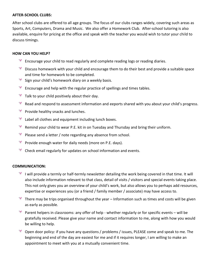#### **AFTER-SCHOOL CLUBS:**

After school clubs are offered to all age groups. The focus of our clubs ranges widely, covering such areas as Sports, Art, Computers, Drama and Music. We also offer a Homework Club. After-school tutoring is also available, enquire for pricing at the office and speak with the teacher you would wish to tutor your child to discuss timings.

### **HOW CAN YOU HELP?**

- Encourage your child to read regularly and complete reading logs or reading diaries.
- Discuss homework with your child and encourage them to do their best and provide a suitable space and time for homework to be completed.
- $\mathscr{L}$  Sign your child's homework diary on a weekly basis.
- Encourage and help with the regular practice of spellings and times tables.
- $\frac{1}{\sqrt{2}}$ Talk to your child positively about their day.
- 手 Read and respond to assessment information and eeports shared with you about your child's progress.
- $\frac{1}{2}$ Provide healthy snacks and lunches.
- 季 Label all clothes and equipment including lunch boxes.
- Remind your child to wear P.E. kit in on Tuesday and Thursday and bring their uniform.
- Please send a letter / note regarding any absence from school.
- $\frac{1}{\sqrt{2}}$ Provide enough water for daily needs (more on P.E. days).
- 奏 Check email regularly for updates on school information and events.

#### **COMMUNICATION:**

- $*$  I will provide a termly or half-termly newsletter detailing the work being covered in that time. It will also include information relevant to that class, detail of visits / visitors and special events taking place. This not only gives you an overview of your child's work, but also allows you to perhaps add resources, expertise or experiences you (or a friend / family member / associate) may have access to.
- $*$  There may be trips organised throughout the year Information such as times and costs will be given as early as possible.
- $*$  Parent helpers in classrooms: any offer of help whether regularly or for specific events will be gratefully received. Please give your name and contact information to me, along with how you would be willing to help.
- Open door policy: if you have any questions / problems / issues, PLEASE come and speak to me. The beginning and end of the day are easiest for me and if it requires longer, I am willing to make an appointment to meet with you at a mutually convenient time.